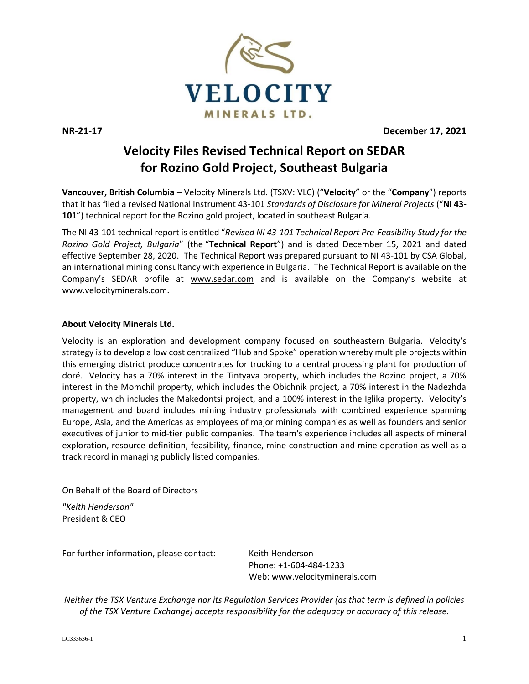

**NR-21-17 December 17, 2021**

## **Velocity Files Revised Technical Report on SEDAR for Rozino Gold Project, Southeast Bulgaria**

**Vancouver, British Columbia** – Velocity Minerals Ltd. (TSXV: VLC) ("**Velocity**" or the "**Company**") reports that it has filed a revised National Instrument 43-101 *Standards of Disclosure for Mineral Projects* ("**NI 43- 101**") technical report for the Rozino gold project, located in southeast Bulgaria.

The NI 43-101 technical report is entitled "*Revised NI 43-101 Technical Report Pre-Feasibility Study for the Rozino Gold Project, Bulgaria*" (the "**Technical Report**") and is dated December 15, 2021 and dated effective September 28, 2020. The Technical Report was prepared pursuant to NI 43-101 by CSA Global, an international mining consultancy with experience in Bulgaria. The Technical Report is available on the Company's SEDAR profile at www.sedar.com and is available on the Company's website at www.velocityminerals.com.

## **About Velocity Minerals Ltd.**

Velocity is an exploration and development company focused on southeastern Bulgaria. Velocity's strategy is to develop a low cost centralized "Hub and Spoke" operation whereby multiple projects within this emerging district produce concentrates for trucking to a central processing plant for production of doré. Velocity has a 70% interest in the Tintyava property, which includes the Rozino project, a 70% interest in the Momchil property, which includes the Obichnik project, a 70% interest in the Nadezhda property, which includes the Makedontsi project, and a 100% interest in the Iglika property. Velocity's management and board includes mining industry professionals with combined experience spanning Europe, Asia, and the Americas as employees of major mining companies as well as founders and senior executives of junior to mid-tier public companies. The team's experience includes all aspects of mineral exploration, resource definition, feasibility, finance, mine construction and mine operation as well as a track record in managing publicly listed companies.

On Behalf of the Board of Directors

*"Keith Henderson"* President & CEO

For further information, please contact: Keith Henderson

Phone: +1-604-484-1233 Web[: www.velocityminerals.com](http://www.velocityminerals.com/)

*Neither the TSX Venture Exchange nor its Regulation Services Provider (as that term is defined in policies of the TSX Venture Exchange) accepts responsibility for the adequacy or accuracy of this release.*